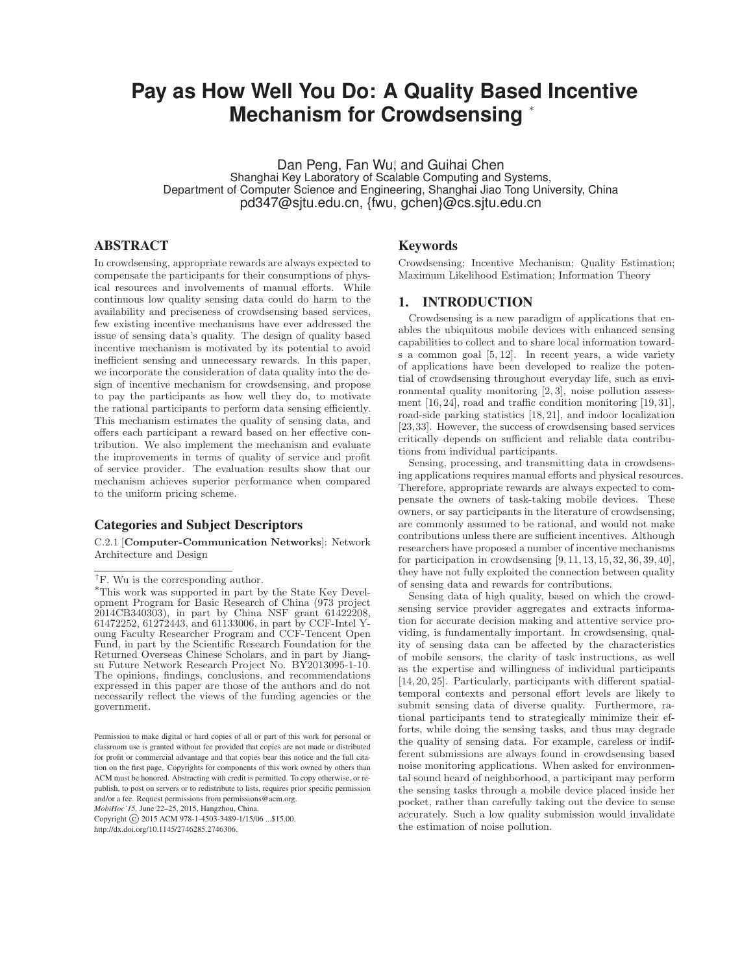# **Pay as How Well You Do: A Quality Based Incentive Mechanism for Crowdsensing** <sup>∗</sup>

Dan Peng, Fan Wu; and Guihai Chen Shanghai Key Laboratory of Scalable Computing and Systems, Department of Computer Science and Engineering, Shanghai Jiao Tong University, China pd347@sjtu.edu.cn, {fwu, gchen}@cs.sjtu.edu.cn

# ABSTRACT

In crowdsensing, appropriate rewards are always expected to compensate the participants for their consumptions of physical resources and involvements of manual efforts. While continuous low quality sensing data could do harm to the availability and preciseness of crowdsensing based services, few existing incentive mechanisms have ever addressed the issue of sensing data's quality. The design of quality based incentive mechanism is motivated by its potential to avoid inefficient sensing and unnecessary rewards. In this paper, we incorporate the consideration of data quality into the design of incentive mechanism for crowdsensing, and propose to pay the participants as how well they do, to motivate the rational participants to perform data sensing efficiently. This mechanism estimates the quality of sensing data, and offers each participant a reward based on her effective contribution. We also implement the mechanism and evaluate the improvements in terms of quality of service and profit of service provider. The evaluation results show that our mechanism achieves superior performance when compared to the uniform pricing scheme.

## Categories and Subject Descriptors

C.2.1 [Computer-Communication Networks]: Network Architecture and Design

*MobiHoc'15,* June 22–25, 2015, Hangzhou, China.

## Keywords

Crowdsensing; Incentive Mechanism; Quality Estimation; Maximum Likelihood Estimation; Information Theory

## 1. INTRODUCTION

Crowdsensing is a new paradigm of applications that enables the ubiquitous mobile devices with enhanced sensing capabilities to collect and to share local information towards a common goal [5, 12]. In recent years, a wide variety of applications have been developed to realize the potential of crowdsensing throughout everyday life, such as environmental quality monitoring [2, 3], noise pollution assessment [16, 24], road and traffic condition monitoring [19, 31], road-side parking statistics [18, 21], and indoor localization [23,33]. However, the success of crowdsensing based services critically depends on sufficient and reliable data contributions from individual participants.

Sensing, processing, and transmitting data in crowdsensing applications requires manual efforts and physical resources. Therefore, appropriate rewards are always expected to compensate the owners of task-taking mobile devices. These owners, or say participants in the literature of crowdsensing, are commonly assumed to be rational, and would not make contributions unless there are sufficient incentives. Although researchers have proposed a number of incentive mechanisms for participation in crowdsensing  $[9, 11, 13, 15, 32, 36, 39, 40]$ , they have not fully exploited the connection between quality of sensing data and rewards for contributions.

Sensing data of high quality, based on which the crowdsensing service provider aggregates and extracts information for accurate decision making and attentive service providing, is fundamentally important. In crowdsensing, quality of sensing data can be affected by the characteristics of mobile sensors, the clarity of task instructions, as well as the expertise and willingness of individual participants [14, 20, 25]. Particularly, participants with different spatialtemporal contexts and personal effort levels are likely to submit sensing data of diverse quality. Furthermore, rational participants tend to strategically minimize their efforts, while doing the sensing tasks, and thus may degrade the quality of sensing data. For example, careless or indifferent submissions are always found in crowdsensing based noise monitoring applications. When asked for environmental sound heard of neighborhood, a participant may perform the sensing tasks through a mobile device placed inside her pocket, rather than carefully taking out the device to sense accurately. Such a low quality submission would invalidate the estimation of noise pollution.

<sup>&</sup>lt;sup>†</sup>F. Wu is the corresponding author.

<sup>∗</sup>This work was supported in part by the State Key Development Program for Basic Research of China (973 project  $2014CB340303$ , in part by China NSF grant  $61422208$ , 61472252, 61272443, and 61133006, in part by CCF-Intel Young Faculty Researcher Program and CCF-Tencent Open Fund, in part by the Scientific Research Foundation for the Returned Overseas Chinese Scholars, and in part by Jiangsu Future Network Research Project No. BY2013095-1-10. The opinions, findings, conclusions, and recommendations expressed in this paper are those of the authors and do not necessarily reflect the views of the funding agencies or the government.

Permission to make digital or hard copies of all or part of this work for personal or classroom use is granted without fee provided that copies are not made or distributed for profit or commercial advantage and that copies bear this notice and the full citation on the first page. Copyrights for components of this work owned by others than ACM must be honored. Abstracting with credit is permitted. To copy otherwise, or republish, to post on servers or to redistribute to lists, requires prior specific permission and/or a fee. Request permissions from permissions@acm.org.

Copyright (C) 2015 ACM 978-1-4503-3489-1/15/06 ... \$15.00. http://dx.doi.org/10.1145/2746285.2746306.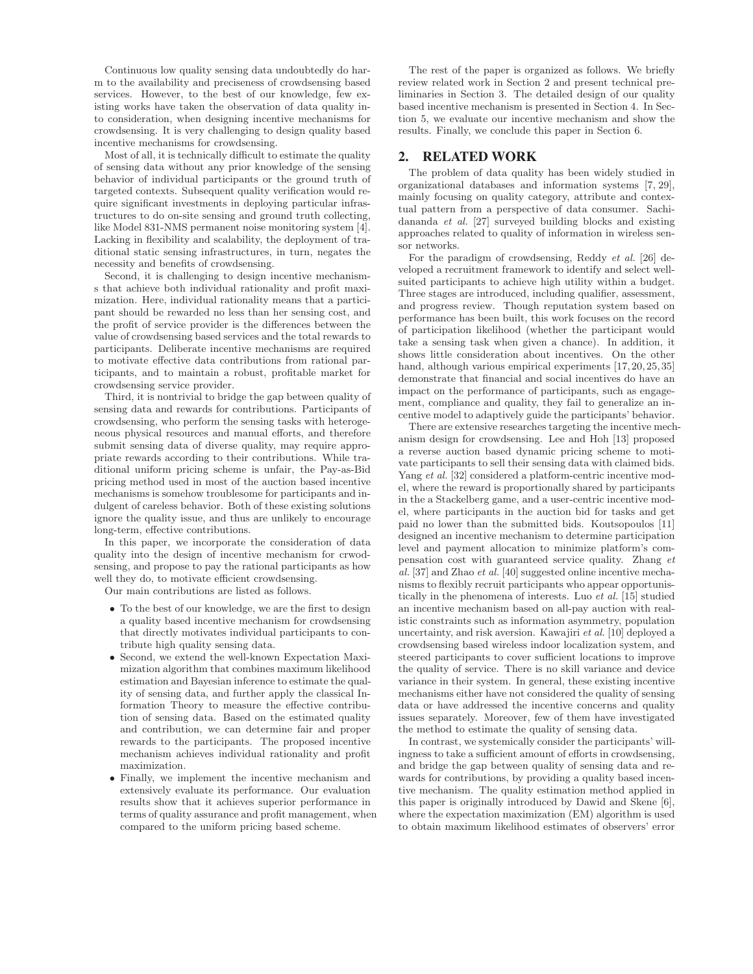Continuous low quality sensing data undoubtedly do harm to the availability and preciseness of crowdsensing based services. However, to the best of our knowledge, few existing works have taken the observation of data quality into consideration, when designing incentive mechanisms for crowdsensing. It is very challenging to design quality based incentive mechanisms for crowdsensing.

Most of all, it is technically difficult to estimate the quality of sensing data without any prior knowledge of the sensing behavior of individual participants or the ground truth of targeted contexts. Subsequent quality verification would require significant investments in deploying particular infrastructures to do on-site sensing and ground truth collecting, like Model 831-NMS permanent noise monitoring system [4]. Lacking in flexibility and scalability, the deployment of traditional static sensing infrastructures, in turn, negates the necessity and benefits of crowdsensing.

Second, it is challenging to design incentive mechanisms that achieve both individual rationality and profit maximization. Here, individual rationality means that a participant should be rewarded no less than her sensing cost, and the profit of service provider is the differences between the value of crowdsensing based services and the total rewards to participants. Deliberate incentive mechanisms are required to motivate effective data contributions from rational participants, and to maintain a robust, profitable market for crowdsensing service provider.

Third, it is nontrivial to bridge the gap between quality of sensing data and rewards for contributions. Participants of crowdsensing, who perform the sensing tasks with heterogeneous physical resources and manual efforts, and therefore submit sensing data of diverse quality, may require appropriate rewards according to their contributions. While traditional uniform pricing scheme is unfair, the Pay-as-Bid pricing method used in most of the auction based incentive mechanisms is somehow troublesome for participants and indulgent of careless behavior. Both of these existing solutions ignore the quality issue, and thus are unlikely to encourage long-term, effective contributions.

In this paper, we incorporate the consideration of data quality into the design of incentive mechanism for crwodsensing, and propose to pay the rational participants as how well they do, to motivate efficient crowdsensing.

Our main contributions are listed as follows.

- To the best of our knowledge, we are the first to design a quality based incentive mechanism for crowdsensing that directly motivates individual participants to contribute high quality sensing data.
- Second, we extend the well-known Expectation Maximization algorithm that combines maximum likelihood estimation and Bayesian inference to estimate the quality of sensing data, and further apply the classical Information Theory to measure the effective contribution of sensing data. Based on the estimated quality and contribution, we can determine fair and proper rewards to the participants. The proposed incentive mechanism achieves individual rationality and profit maximization.
- Finally, we implement the incentive mechanism and extensively evaluate its performance. Our evaluation results show that it achieves superior performance in terms of quality assurance and profit management, when compared to the uniform pricing based scheme.

The rest of the paper is organized as follows. We briefly review related work in Section 2 and present technical preliminaries in Section 3. The detailed design of our quality based incentive mechanism is presented in Section 4. In Section 5, we evaluate our incentive mechanism and show the results. Finally, we conclude this paper in Section 6.

## 2. RELATED WORK

The problem of data quality has been widely studied in organizational databases and information systems [7, 29], mainly focusing on quality category, attribute and contextual pattern from a perspective of data consumer. Sachidananda et al. [27] surveyed building blocks and existing approaches related to quality of information in wireless sensor networks.

For the paradigm of crowdsensing, Reddy et al. [26] developed a recruitment framework to identify and select wellsuited participants to achieve high utility within a budget. Three stages are introduced, including qualifier, assessment, and progress review. Though reputation system based on performance has been built, this work focuses on the record of participation likelihood (whether the participant would take a sensing task when given a chance). In addition, it shows little consideration about incentives. On the other hand, although various empirical experiments  $[17, 20, 25, 35]$ demonstrate that financial and social incentives do have an impact on the performance of participants, such as engagement, compliance and quality, they fail to generalize an incentive model to adaptively guide the participants' behavior.

There are extensive researches targeting the incentive mechanism design for crowdsensing. Lee and Hoh [13] proposed a reverse auction based dynamic pricing scheme to motivate participants to sell their sensing data with claimed bids. Yang *et al.* [32] considered a platform-centric incentive model, where the reward is proportionally shared by participants in the a Stackelberg game, and a user-centric incentive model, where participants in the auction bid for tasks and get paid no lower than the submitted bids. Koutsopoulos [11] designed an incentive mechanism to determine participation level and payment allocation to minimize platform's compensation cost with guaranteed service quality. Zhang et al. [37] and Zhao et al. [40] suggested online incentive mechanisms to flexibly recruit participants who appear opportunistically in the phenomena of interests. Luo et al. [15] studied an incentive mechanism based on all-pay auction with realistic constraints such as information asymmetry, population uncertainty, and risk aversion. Kawajiri et al. [10] deployed a crowdsensing based wireless indoor localization system, and steered participants to cover sufficient locations to improve the quality of service. There is no skill variance and device variance in their system. In general, these existing incentive mechanisms either have not considered the quality of sensing data or have addressed the incentive concerns and quality issues separately. Moreover, few of them have investigated the method to estimate the quality of sensing data.

In contrast, we systemically consider the participants' willingness to take a sufficient amount of efforts in crowdsensing, and bridge the gap between quality of sensing data and rewards for contributions, by providing a quality based incentive mechanism. The quality estimation method applied in this paper is originally introduced by Dawid and Skene [6], where the expectation maximization (EM) algorithm is used to obtain maximum likelihood estimates of observers' error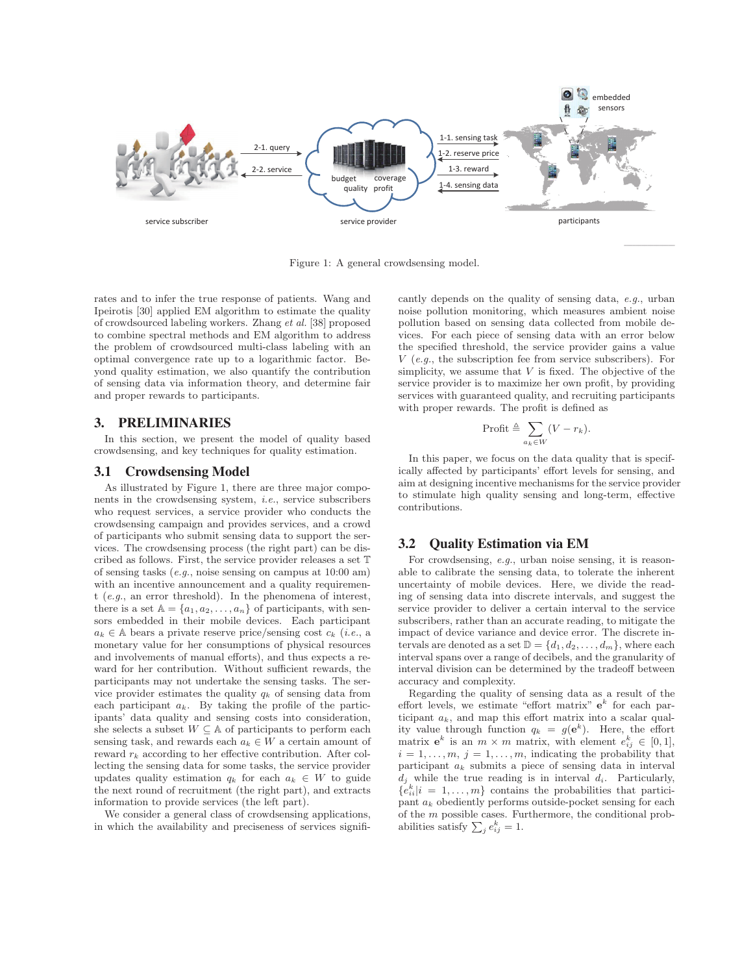

Figure 1: A general crowdsensing model.

rates and to infer the true response of patients. Wang and Ipeirotis [30] applied EM algorithm to estimate the quality of crowdsourced labeling workers. Zhang et al. [38] proposed to combine spectral methods and EM algorithm to address the problem of crowdsourced multi-class labeling with an optimal convergence rate up to a logarithmic factor. Beyond quality estimation, we also quantify the contribution of sensing data via information theory, and determine fair and proper rewards to participants.

#### 3. PRELIMINARIES

In this section, we present the model of quality based crowdsensing, and key techniques for quality estimation.

## 3.1 Crowdsensing Model

As illustrated by Figure 1, there are three major components in the crowdsensing system, i.e., service subscribers who request services, a service provider who conducts the crowdsensing campaign and provides services, and a crowd of participants who submit sensing data to support the services. The crowdsensing process (the right part) can be discribed as follows. First, the service provider releases a set T of sensing tasks (e.g., noise sensing on campus at 10:00 am) with an incentive announcement and a quality requirement (e.g., an error threshold). In the phenomena of interest, there is a set  $A = \{a_1, a_2, \ldots, a_n\}$  of participants, with sensors embedded in their mobile devices. Each participant  $a_k \in A$  bears a private reserve price/sensing cost  $c_k$  (*i.e.*, a monetary value for her consumptions of physical resources and involvements of manual efforts), and thus expects a reward for her contribution. Without sufficient rewards, the participants may not undertake the sensing tasks. The service provider estimates the quality  $q_k$  of sensing data from each participant  $a_k$ . By taking the profile of the participants' data quality and sensing costs into consideration, she selects a subset  $W \subseteq A$  of participants to perform each sensing task, and rewards each  $a_k \in W$  a certain amount of reward  $r_k$  according to her effective contribution. After collecting the sensing data for some tasks, the service provider updates quality estimation  $q_k$  for each  $a_k \in W$  to guide the next round of recruitment (the right part), and extracts information to provide services (the left part).

We consider a general class of crowdsensing applications, in which the availability and preciseness of services significantly depends on the quality of sensing data, e.g., urban noise pollution monitoring, which measures ambient noise pollution based on sensing data collected from mobile devices. For each piece of sensing data with an error below the specified threshold, the service provider gains a value  $V$  (e.g., the subscription fee from service subscribers). For simplicity, we assume that  $V$  is fixed. The objective of the service provider is to maximize her own profit, by providing services with guaranteed quality, and recruiting participants with proper rewards. The profit is defined as

$$
Profit \triangleq \sum_{a_k \in W} (V - r_k).
$$

In this paper, we focus on the data quality that is specifically affected by participants' effort levels for sensing, and aim at designing incentive mechanisms for the service provider to stimulate high quality sensing and long-term, effective contributions.

#### 3.2 Quality Estimation via EM

For crowdsensing, e.g., urban noise sensing, it is reasonable to calibrate the sensing data, to tolerate the inherent uncertainty of mobile devices. Here, we divide the reading of sensing data into discrete intervals, and suggest the service provider to deliver a certain interval to the service subscribers, rather than an accurate reading, to mitigate the impact of device variance and device error. The discrete intervals are denoted as a set  $\mathbb{D} = \{d_1, d_2, \ldots, d_m\}$ , where each interval spans over a range of decibels, and the granularity of interval division can be determined by the tradeoff between accuracy and complexity.

Regarding the quality of sensing data as a result of the effort levels, we estimate "effort matrix"  $e^k$  for each participant  $a_k$ , and map this effort matrix into a scalar quality value through function  $q_k = g(e^k)$ . Here, the effort matrix  $e^k$  is an  $m \times m$  matrix, with element  $e_{ij}^k \in [0,1],$  $i = 1, \ldots, m, j = 1, \ldots, m$ , indicating the probability that participant  $a_k$  submits a piece of sensing data in interval  $d_i$  while the true reading is in interval  $d_i$ . Particularly,  ${e_{ii}^k|i = 1, \ldots, m}$  contains the probabilities that participant  $a_k$  obediently performs outside-pocket sensing for each of the m possible cases. Furthermore, the conditional probabilities satisfy  $\sum_j e_{ij}^k = 1$ .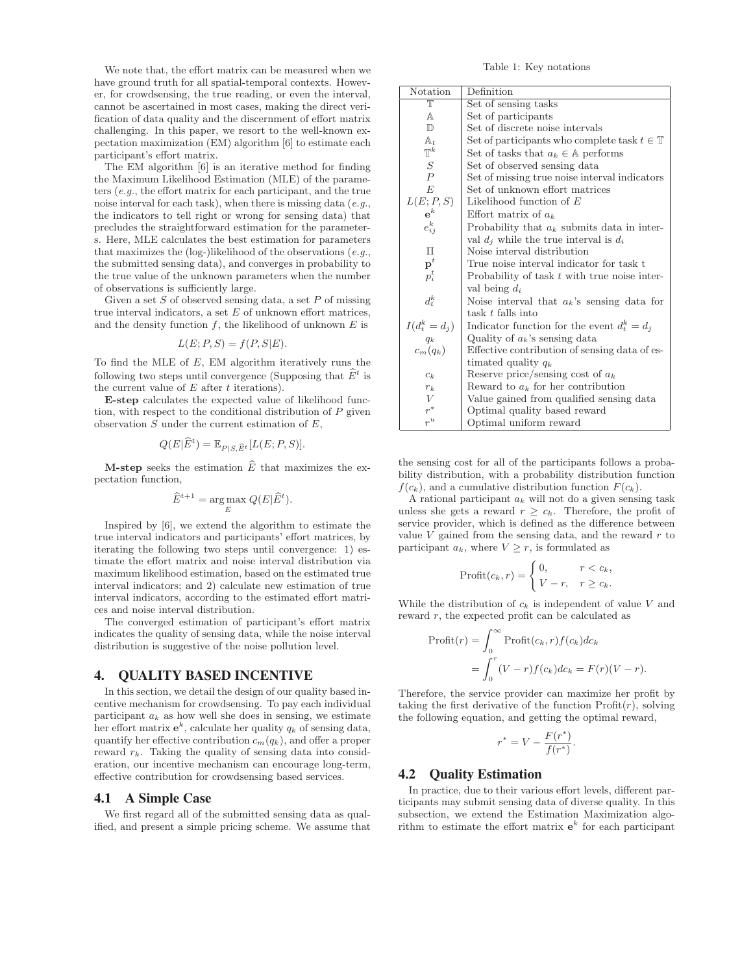We note that, the effort matrix can be measured when we have ground truth for all spatial-temporal contexts. However, for crowdsensing, the true reading, or even the interval, cannot be ascertained in most cases, making the direct verification of data quality and the discernment of effort matrix challenging. In this paper, we resort to the well-known expectation maximization (EM) algorithm [6] to estimate each participant's effort matrix.

The EM algorithm [6] is an iterative method for finding the Maximum Likelihood Estimation (MLE) of the parameters (e.g., the effort matrix for each participant, and the true noise interval for each task), when there is missing data  $(e.g.,)$ the indicators to tell right or wrong for sensing data) that precludes the straightforward estimation for the parameters. Here, MLE calculates the best estimation for parameters that maximizes the (log-)likelihood of the observations  $(e,q,$ the submitted sensing data), and converges in probability to the true value of the unknown parameters when the number of observations is sufficiently large.

Given a set  $S$  of observed sensing data, a set  $P$  of missing true interval indicators, a set  $E$  of unknown effort matrices, and the density function  $f$ , the likelihood of unknown  $E$  is

$$
L(E; P, S) = f(P, S|E).
$$

To find the MLE of  $E$ , EM algorithm iteratively runs the following two steps until convergence (Supposing that  $\widehat{E}^t$  is the current value of  $E$  after  $t$  iterations).

E-step calculates the expected value of likelihood function, with respect to the conditional distribution of  $P$  given observation  $S$  under the current estimation of  $E$ ,

$$
Q(E|\widehat{E}^t) = \mathbb{E}_{P|S,\widehat{E}^t}[L(E;P,S)].
$$

**M-step** seeks the estimation  $\widehat{E}$  that maximizes the expectation function,

$$
\widehat{E}^{t+1} = \underset{E}{\text{arg max }} Q(E|\widehat{E}^t).
$$

Inspired by [6], we extend the algorithm to estimate the true interval indicators and participants' effort matrices, by iterating the following two steps until convergence: 1) estimate the effort matrix and noise interval distribution via maximum likelihood estimation, based on the estimated true interval indicators; and 2) calculate new estimation of true interval indicators, according to the estimated effort matrices and noise interval distribution.

The converged estimation of participant's effort matrix indicates the quality of sensing data, while the noise interval distribution is suggestive of the noise pollution level.

#### 4. QUALITY BASED INCENTIVE

In this section, we detail the design of our quality based incentive mechanism for crowdsensing. To pay each individual participant  $a_k$  as how well she does in sensing, we estimate her effort matrix  $e^k$ , calculate her quality  $q_k$  of sensing data, quantify her effective contribution  $c_m(q_k)$ , and offer a proper reward  $r_k$ . Taking the quality of sensing data into consideration, our incentive mechanism can encourage long-term, effective contribution for crowdsensing based services.

## 4.1 A Simple Case

We first regard all of the submitted sensing data as qualified, and present a simple pricing scheme. We assume that

#### Table 1: Key notations

| Notation                | Definition                                               |
|-------------------------|----------------------------------------------------------|
| $\overline{\mathbb{T}}$ | Set of sensing tasks                                     |
| A                       | Set of participants                                      |
| $\mathbb{D}$            | Set of discrete noise intervals                          |
| $\mathbb{A}_t$          | Set of participants who complete task $t \in \mathbb{T}$ |
| $\mathbb{T}^k$          | Set of tasks that $a_k \in A$ performs                   |
| S                       | Set of observed sensing data                             |
| $\overline{P}$          | Set of missing true noise interval indicators            |
| E                       | Set of unknown effort matrices                           |
| L(E; P, S)              | Likelihood function of $E$                               |
| $\mathbf{e}^k$          | Effort matrix of $a_k$                                   |
| $e_{ij}^k$              | Probability that $a_k$ submits data in inter-            |
|                         | val $d_j$ while the true interval is $d_i$               |
| $\Pi$                   | Noise interval distribution                              |
| $\mathbf{p}^t$          | True noise interval indicator for task t                 |
| $p_i^t$                 | Probability of task $t$ with true noise inter-           |
|                         | val being $d_i$                                          |
| $d_t^k$                 | Noise interval that $a_k$ 's sensing data for            |
|                         | task $t$ falls into                                      |
| $I(d_t^k = d_i)$        | Indicator function for the event $d_t^k = d_i$           |
| $q_k$                   | Quality of $a_k$ 's sensing data                         |
| $c_m(q_k)$              | Effective contribution of sensing data of es-            |
|                         | timated quality $q_k$                                    |
| $c_k$                   | Reserve price/sensing cost of $a_k$                      |
| $r_k$                   | Reward to $a_k$ for her contribution                     |
| V                       | Value gained from qualified sensing data                 |
| $r^*$                   | Optimal quality based reward                             |
| $r^u$                   | Optimal uniform reward                                   |

the sensing cost for all of the participants follows a probability distribution, with a probability distribution function  $f(c_k)$ , and a cumulative distribution function  $F(c_k)$ .

A rational participant  $a_k$  will not do a given sensing task unless she gets a reward  $r \geq c_k$ . Therefore, the profit of service provider, which is defined as the difference between value  $V$  gained from the sensing data, and the reward  $r$  to participant  $a_k$ , where  $V \geq r$ , is formulated as

$$
Profit(c_k, r) = \begin{cases} 0, & r < c_k, \\ V - r, & r \ge c_k. \end{cases}
$$

While the distribution of  $c_k$  is independent of value V and reward  $r$ , the expected profit can be calculated as

$$
\begin{aligned} \text{Profit}(r) &= \int_0^\infty \text{Profit}(c_k, r) f(c_k) dc_k \\ &= \int_0^r (V - r) f(c_k) dc_k = F(r)(V - r). \end{aligned}
$$

Therefore, the service provider can maximize her profit by taking the first derivative of the function  $\text{Profit}(r)$ , solving the following equation, and getting the optimal reward,

$$
r^* = V - \frac{F(r^*)}{f(r^*)}.
$$

#### 4.2 Quality Estimation

In practice, due to their various effort levels, different participants may submit sensing data of diverse quality. In this subsection, we extend the Estimation Maximization algorithm to estimate the effort matrix  $e^k$  for each participant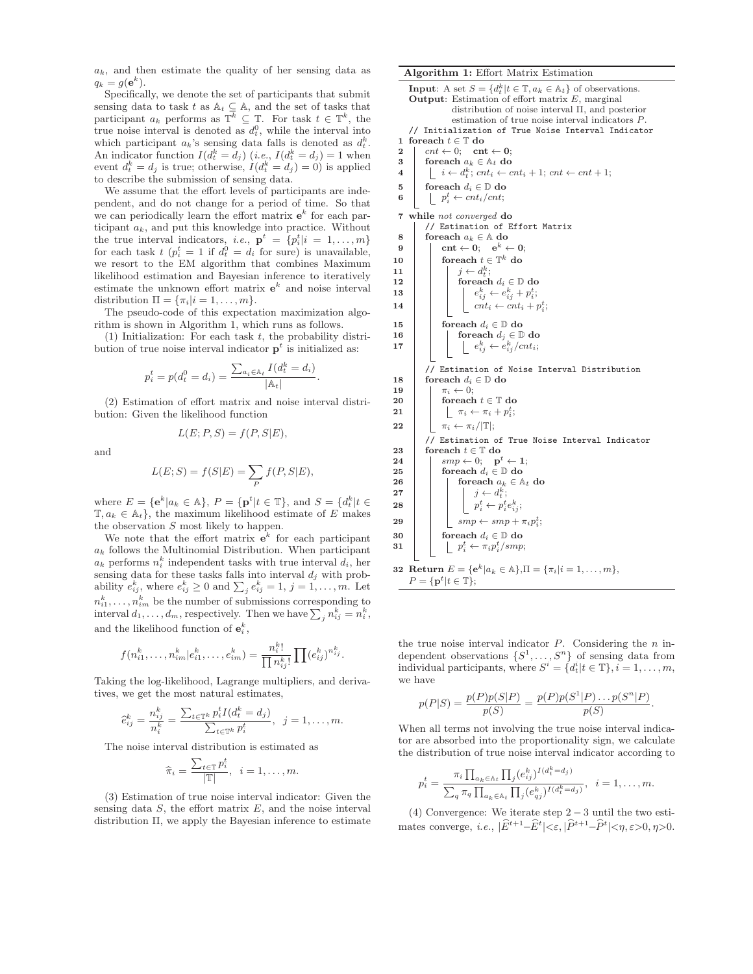$a_k$ , and then estimate the quality of her sensing data as  $q_k = g(e^k).$ 

Specifically, we denote the set of participants that submit sensing data to task t as  $\mathbb{A}_t \subseteq \mathbb{A}$ , and the set of tasks that participant  $a_k$  performs as  $\mathbb{T}^k \subseteq \mathbb{T}$ . For task  $t \in \mathbb{T}^k$ , the true noise interval is denoted as  $d_t^0$ , while the interval into which participant  $a_k$ 's sensing data falls is denoted as  $d_t^k$ . An indicator function  $I(d_t^k = d_j)$  (*i.e.*,  $I(d_t^k = d_j) = 1$  when event  $d_t^k = d_j$  is true; otherwise,  $I(d_t^k = d_j) = 0$ ) is applied to describe the submission of sensing data.

We assume that the effort levels of participants are independent, and do not change for a period of time. So that we can periodically learn the effort matrix  $e^k$  for each participant  $a_k$ , and put this knowledge into practice. Without the true interval indicators, *i.e.*,  $\mathbf{p}^t = \{p_i^t | i = 1, ..., m\}$ for each task  $t$   $(p_i^t = 1$  if  $d_t^0 = d_i$  for sure) is unavailable, we resort to the EM algorithm that combines Maximum likelihood estimation and Bayesian inference to iteratively estimate the unknown effort matrix  $e^k$  and noise interval distribution  $\Pi = {\pi_i | i = 1, \ldots, m}.$ 

The pseudo-code of this expectation maximization algorithm is shown in Algorithm 1, which runs as follows.

(1) Initialization: For each task  $t$ , the probability distribution of true noise interval indicator  $p<sup>t</sup>$  is initialized as:

$$
p_i^t = p(d_t^0 = d_i) = \frac{\sum_{a_i \in \mathbb{A}_t} I(d_t^k = d_i)}{|\mathbb{A}_t|}.
$$

(2) Estimation of effort matrix and noise interval distribution: Given the likelihood function

$$
L(E; P, S) = f(P, S|E),
$$

and

$$
L(E;S) = f(S|E) = \sum_{P} f(P,S|E),
$$

where  $E = \{e^k | a_k \in \mathbb{A}\}, P = \{p^t | t \in \mathbb{T}\},\$ and  $S = \{d_t^k | t \in \mathbb{T}\}$  $\mathbb{T}, a_k \in \mathbb{A}_t$ , the maximum likelihood estimate of E makes the observation S most likely to happen.

We note that the effort matrix  $e^k$  for each participant  $a_k$  follows the Multinomial Distribution. When participant  $a_k$  performs  $n_i^k$  independent tasks with true interval  $d_i$ , her sensing data for these tasks falls into interval  $d_j$  with probability  $e_{ij}^k$ , where  $e_{ij}^k \geq 0$  and  $\sum_j e_{ij}^k = 1, j = 1, \ldots, m$ . Let  $n_{i1}^k, \ldots, n_{im}^k$  be the number of submissions corresponding to interval  $d_1, \ldots, d_m$ , respectively. Then we have  $\sum_j n_{ij}^k = n_i^k$ , and the likelihood function of  $\mathbf{e}_i^k$ ,

$$
f(n_{i1}^k, \ldots, n_{im}^k | e_{i1}^k, \ldots, e_{im}^k) = \frac{n_i^{k}!}{\prod n_{ij}^k!} \prod (e_{ij}^k)^{n_{ij}^k}.
$$

Taking the log-likelihood, Lagrange multipliers, and derivatives, we get the most natural estimates,

$$
\hat{e}_{ij}^k = \frac{n_{ij}^k}{n_i^k} = \frac{\sum_{t \in \mathbb{T}^k} p_i^t I(d_t^k = d_j)}{\sum_{t \in \mathbb{T}^k} p_i^t}, \ \ j = 1, \dots, m.
$$

The noise interval distribution is estimated as

$$
\widehat{\pi}_i = \frac{\sum_{t \in \mathbb{T}} p_i^t}{|\mathbb{T}|}, \ \ i = 1, \dots, m.
$$

(3) Estimation of true noise interval indicator: Given the sensing data  $S$ , the effort matrix  $E$ , and the noise interval distribution Π, we apply the Bayesian inference to estimate

| Algorithm 1: Effort Matrix Estimation    |                                                                                                                                                                                                                    |  |  |
|------------------------------------------|--------------------------------------------------------------------------------------------------------------------------------------------------------------------------------------------------------------------|--|--|
|                                          | <b>Input:</b> A set $S = \{d_t^k   t \in \mathbb{T}, a_k \in \mathbb{A}_t\}$ of observations.<br><b>Output:</b> Estimation of effort matrix $E$ , marginal<br>distribution of noise interval $\Pi$ , and posterior |  |  |
|                                          | estimation of true noise interval indicators P.<br>// Initialization of True Noise Interval Indicator                                                                                                              |  |  |
| 1                                        | foreach $t \in \mathbb{T}$ do                                                                                                                                                                                      |  |  |
| $\overline{2}$                           | $cnt \leftarrow 0;$ cnt $\leftarrow 0;$                                                                                                                                                                            |  |  |
| 3                                        | foreach $a_k \in \mathbb{A}_t$ do                                                                                                                                                                                  |  |  |
| $\overline{\mathbf{4}}$                  | $i \leftarrow d_t^k$ ; $cnt_i \leftarrow cnt_i + 1$ ; $cnt \leftarrow cnt + 1$ ;                                                                                                                                   |  |  |
| 5                                        | foreach $d_i \in \mathbb{D}$ do                                                                                                                                                                                    |  |  |
| 6                                        | $\vert p_i^t \leftarrow \textit{cnt}_i/\textit{cnt};$                                                                                                                                                              |  |  |
| 7                                        | while not converged do                                                                                                                                                                                             |  |  |
|                                          | // Estimation of Effort Matrix                                                                                                                                                                                     |  |  |
| 8                                        | foreach $a_k \in \mathbb{A}$ do                                                                                                                                                                                    |  |  |
| 9                                        | $\mathrm{cnt} \leftarrow 0; \quad \mathrm{e}^k \leftarrow 0;$                                                                                                                                                      |  |  |
| 10                                       | foreach $t \in \mathbb{T}^k$ do                                                                                                                                                                                    |  |  |
| 11                                       | $j \leftarrow d^k_t;$ for<br>each $d_i \in \mathbb{D}$ do                                                                                                                                                          |  |  |
| 12<br>13                                 | $e_{ij}^k \leftarrow e_{ij}^k + p_i^t;$                                                                                                                                                                            |  |  |
| 14                                       | $cnt_i \leftarrow cnt_i + p_i^t;$                                                                                                                                                                                  |  |  |
|                                          |                                                                                                                                                                                                                    |  |  |
| 15                                       | foreach $d_i \in \mathbb{D}$ do                                                                                                                                                                                    |  |  |
| 16                                       | foreach $d_j \in \mathbb{D}$ do<br>$e_{ij}^k \leftarrow e_{ij}^k/cnt_i;$                                                                                                                                           |  |  |
| 17                                       |                                                                                                                                                                                                                    |  |  |
|                                          | // Estimation of Noise Interval Distribution                                                                                                                                                                       |  |  |
| 18                                       | foreach $d_i \in \mathbb{D}$ do                                                                                                                                                                                    |  |  |
| 19                                       | $\pi_i \leftarrow 0;$                                                                                                                                                                                              |  |  |
| 20                                       | for<br>each $t\in\mathbb{T}$ do                                                                                                                                                                                    |  |  |
| 21                                       | $ \quad \pi_i \leftarrow \pi_i + p_i^t;$                                                                                                                                                                           |  |  |
| 22                                       | $\pi_i \leftarrow \pi_i /  \mathbb{T} ;$                                                                                                                                                                           |  |  |
|                                          | // Estimation of True Noise Interval Indicator                                                                                                                                                                     |  |  |
| 23                                       | foreach $t \in \mathbb{T}$ do<br>$smp \leftarrow 0; \quad \mathbf{p}^t \leftarrow \mathbf{1};$                                                                                                                     |  |  |
| 24<br>25                                 | foreach $d_i \in \mathbb{D}$ do                                                                                                                                                                                    |  |  |
| 26                                       | foreach $a_k \in \mathbb{A}_t$ do                                                                                                                                                                                  |  |  |
| 27                                       |                                                                                                                                                                                                                    |  |  |
| 28                                       | $\begin{array}{c} j \leftarrow d_t^k; \\ p_i^t \leftarrow p_i^t e_{ij}^k; \end{array}$                                                                                                                             |  |  |
| 29                                       | $smp \leftarrow smp + \pi_i p_i^t;$                                                                                                                                                                                |  |  |
| 30                                       | foreach $d_i \in \mathbb{D}$ do                                                                                                                                                                                    |  |  |
| 31                                       | $\vert p_i^t \leftarrow \pi_i p_i^t / smp;$                                                                                                                                                                        |  |  |
| 32                                       | <b>Return</b> $E = \{e^k   a_k \in \mathbb{A}\}, \Pi = \{\pi_i   i = 1, , m\},\$                                                                                                                                   |  |  |
| $P = {\mathbf{p}^t   t \in \mathbb{T}};$ |                                                                                                                                                                                                                    |  |  |
|                                          |                                                                                                                                                                                                                    |  |  |

the true noise interval indicator  $P$ . Considering the  $n$  independent observations  $\{S^1, \ldots, S^n\}$  of sensing data from individual participants, where  $S^i = \{d_t^i | t \in \mathbb{T}\}, i = 1, \ldots, m$ , we have

$$
p(P|S) = \frac{p(P)p(S|P)}{p(S)} = \frac{p(P)p(S^1|P)\dots p(S^n|P)}{p(S)}.
$$

When all terms not involving the true noise interval indicator are absorbed into the proportionality sign, we calculate the distribution of true noise interval indicator according to

$$
p_i^t = \frac{\pi_i \prod_{a_k \in \mathbb{A}_t} \prod_j (e_{ij}^k)^{I(d_i^k = d_j)}}{\sum_q \pi_q \prod_{a_k \in \mathbb{A}_t} \prod_j (e_{qj}^k)^{I(d_i^k = d_j)}}, \ \ i = 1, \dots, m.
$$

(4) Convergence: We iterate step  $2-3$  until the two estimates converge, *i.e.*,  $|\widehat{E}^{t+1} - \widehat{E}^t| < \varepsilon, |\widehat{P}^{t+1} - \widehat{P}^t| < \eta, \varepsilon > 0, \eta > 0.$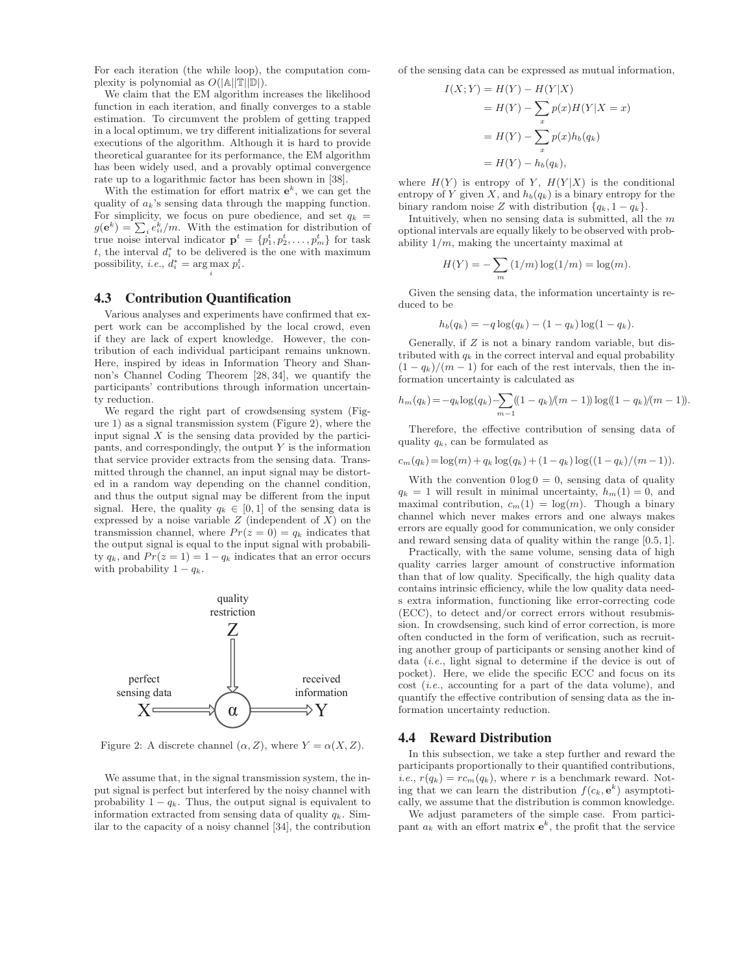For each iteration (the while loop), the computation complexity is polynomial as  $O(|A||T||D|)$ .

We claim that the EM algorithm increases the likelihood function in each iteration, and finally converges to a stable estimation. To circumvent the problem of getting trapped in a local optimum, we try different initializations for several executions of the algorithm. Although it is hard to provide theoretical guarantee for its performance, the EM algorithm has been widely used, and a provably optimal convergence rate up to a logarithmic factor has been shown in [38].

With the estimation for effort matrix  $e^k$ , we can get the quality of  $a_k$ 's sensing data through the mapping function. For simplicity, we focus on pure obedience, and set  $q_k =$  $g(\mathbf{e}^k) = \sum_i e_{ii}^k / m$ . With the estimation for distribution of true noise interval indicator  $\mathbf{p}^t = \{p_1^t, p_2^t, \ldots, p_m^t\}$  for task t, the interval  $d_i^*$  to be delivered is the one with maximum possibility, *i.e.*,  $d_i^* = \arg \max_i p_i^t$ .

## 4.3 Contribution Quantification

Various analyses and experiments have confirmed that expert work can be accomplished by the local crowd, even if they are lack of expert knowledge. However, the contribution of each individual participant remains unknown. Here, inspired by ideas in Information Theory and Shannon's Channel Coding Theorem [28, 34], we quantify the participants' contributions through information uncertainty reduction.

We regard the right part of crowdsensing system (Figure 1) as a signal transmission system (Figure 2), where the input signal  $X$  is the sensing data provided by the participants, and correspondingly, the output  $Y$  is the information that service provider extracts from the sensing data. Transmitted through the channel, an input signal may be distorted in a random way depending on the channel condition, and thus the output signal may be different from the input signal. Here, the quality  $q_k \in [0,1]$  of the sensing data is expressed by a noise variable  $Z$  (independent of  $X$ ) on the transmission channel, where  $Pr(z = 0) = q_k$  indicates that the output signal is equal to the input signal with probability  $q_k$ , and  $Pr(z = 1) = 1 - q_k$  indicates that an error occurs with probability  $1 - q_k$ .



Figure 2: A discrete channel  $(\alpha, Z)$ , where  $Y = \alpha(X, Z)$ .

We assume that, in the signal transmission system, the input signal is perfect but interfered by the noisy channel with probability  $1 - q_k$ . Thus, the output signal is equivalent to information extracted from sensing data of quality  $q_k$ . Similar to the capacity of a noisy channel [34], the contribution

of the sensing data can be expressed as mutual information,

$$
I(X;Y) = H(Y) - H(Y|X)
$$
  
=  $H(Y) - \sum_{x} p(x)H(Y|X = x)$   
=  $H(Y) - \sum_{x} p(x)h_b(q_k)$   
=  $H(Y) - h_b(q_k)$ ,

where  $H(Y)$  is entropy of Y,  $H(Y|X)$  is the conditional entropy of Y given X, and  $h_b(q_k)$  is a binary entropy for the binary random noise Z with distribution  $\{q_k, 1 - q_k\}.$ 

Intuitively, when no sensing data is submitted, all the  $m$ optional intervals are equally likely to be observed with probability  $1/m$ , making the uncertainty maximal at

$$
H(Y) = -\sum_{m} (1/m) \log(1/m) = \log(m).
$$

Given the sensing data, the information uncertainty is reduced to be

$$
h_b(q_k) = -q \log(q_k) - (1 - q_k) \log(1 - q_k).
$$

Generally, if  $Z$  is not a binary random variable, but distributed with  $q_k$  in the correct interval and equal probability  $(1 - q_k)/(m - 1)$  for each of the rest intervals, then the information uncertainty is calculated as

$$
h_m(q_k) = -q_k \log(q_k) - \sum_{m-1} \left( (1 - q_k)/(m-1) \right) \log((1 - q_k)/(m-1)).
$$

Therefore, the effective contribution of sensing data of quality  $q_k$ , can be formulated as

$$
c_m(q_k) = \log(m) + q_k \log(q_k) + (1 - q_k) \log((1 - q_k)/(m - 1)).
$$

With the convention  $0 \log 0 = 0$ , sensing data of quality  $q_k = 1$  will result in minimal uncertainty,  $h_m(1) = 0$ , and maximal contribution,  $c_m(1) = \log(m)$ . Though a binary channel which never makes errors and one always makes errors are equally good for communication, we only consider and reward sensing data of quality within the range [0.5, 1].

Practically, with the same volume, sensing data of high quality carries larger amount of constructive information than that of low quality. Specifically, the high quality data contains intrinsic efficiency, while the low quality data needs extra information, functioning like error-correcting code (ECC), to detect and/or correct errors without resubmission. In crowdsensing, such kind of error correction, is more often conducted in the form of verification, such as recruiting another group of participants or sensing another kind of data (*i.e.*, light signal to determine if the device is out of pocket). Here, we elide the specific ECC and focus on its cost (i.e., accounting for a part of the data volume), and quantify the effective contribution of sensing data as the information uncertainty reduction.

## 4.4 Reward Distribution

In this subsection, we take a step further and reward the participants proportionally to their quantified contributions, *i.e.*,  $r(q_k) = rc_m(q_k)$ , where r is a benchmark reward. Noting that we can learn the distribution  $f(c_k, e^k)$  asymptotically, we assume that the distribution is common knowledge.

We adjust parameters of the simple case. From participant  $a_k$  with an effort matrix  $e^k$ , the profit that the service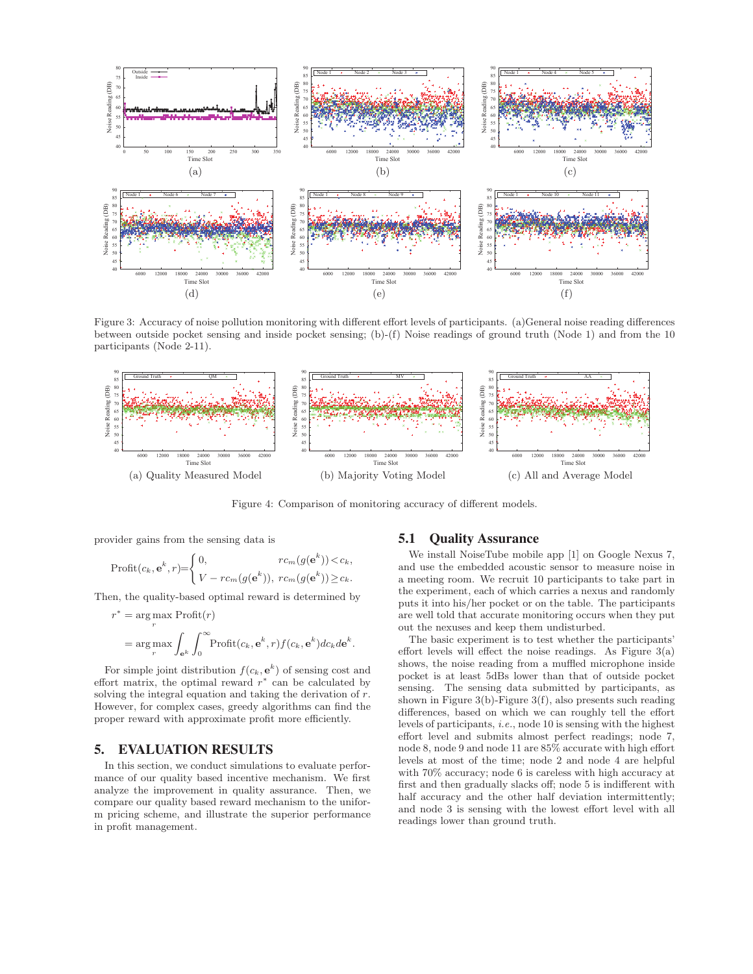

Figure 3: Accuracy of noise pollution monitoring with different effort levels of participants. (a)General noise reading differences between outside pocket sensing and inside pocket sensing; (b)-(f) Noise readings of ground truth (Node 1) and from the 10 participants (Node 2-11).



Figure 4: Comparison of monitoring accuracy of different models.

.

provider gains from the sensing data is

$$
Profit(c_k, \mathbf{e}^k, r) = \begin{cases} 0, & rc_m(g(\mathbf{e}^k)) < c_k, \\ V - rc_m(g(\mathbf{e}^k)), & rc_m(g(\mathbf{e}^k)) \ge c_k. \end{cases}
$$

Then, the quality-based optimal reward is determined by

$$
r^* = \underset{r}{\arg \max} \text{Profit}(r)
$$

$$
= \underset{r}{\arg \max} \int_{e^k} \int_0^{\infty} \text{Profit}(c_k, e^k, r) f(c_k, e^k) dc_k de^k
$$

For simple joint distribution  $f(c_k, e^k)$  of sensing cost and effort matrix, the optimal reward  $r^*$  can be calculated by solving the integral equation and taking the derivation of  $r$ . However, for complex cases, greedy algorithms can find the proper reward with approximate profit more efficiently.

# 5. EVALUATION RESULTS

In this section, we conduct simulations to evaluate performance of our quality based incentive mechanism. We first analyze the improvement in quality assurance. Then, we compare our quality based reward mechanism to the uniform pricing scheme, and illustrate the superior performance in profit management.

#### 5.1 Quality Assurance

We install NoiseTube mobile app [1] on Google Nexus 7, and use the embedded acoustic sensor to measure noise in a meeting room. We recruit 10 participants to take part in the experiment, each of which carries a nexus and randomly puts it into his/her pocket or on the table. The participants are well told that accurate monitoring occurs when they put out the nexuses and keep them undisturbed.

The basic experiment is to test whether the participants' effort levels will effect the noise readings. As Figure  $3(a)$ shows, the noise reading from a muffled microphone inside pocket is at least 5dBs lower than that of outside pocket sensing. The sensing data submitted by participants, as shown in Figure  $3(b)$ -Figure  $3(f)$ , also presents such reading differences, based on which we can roughly tell the effort levels of participants, i.e., node 10 is sensing with the highest effort level and submits almost perfect readings; node 7, node 8, node 9 and node 11 are 85% accurate with high effort levels at most of the time; node 2 and node 4 are helpful with 70% accuracy; node 6 is careless with high accuracy at first and then gradually slacks off; node 5 is indifferent with half accuracy and the other half deviation intermittently; and node 3 is sensing with the lowest effort level with all readings lower than ground truth.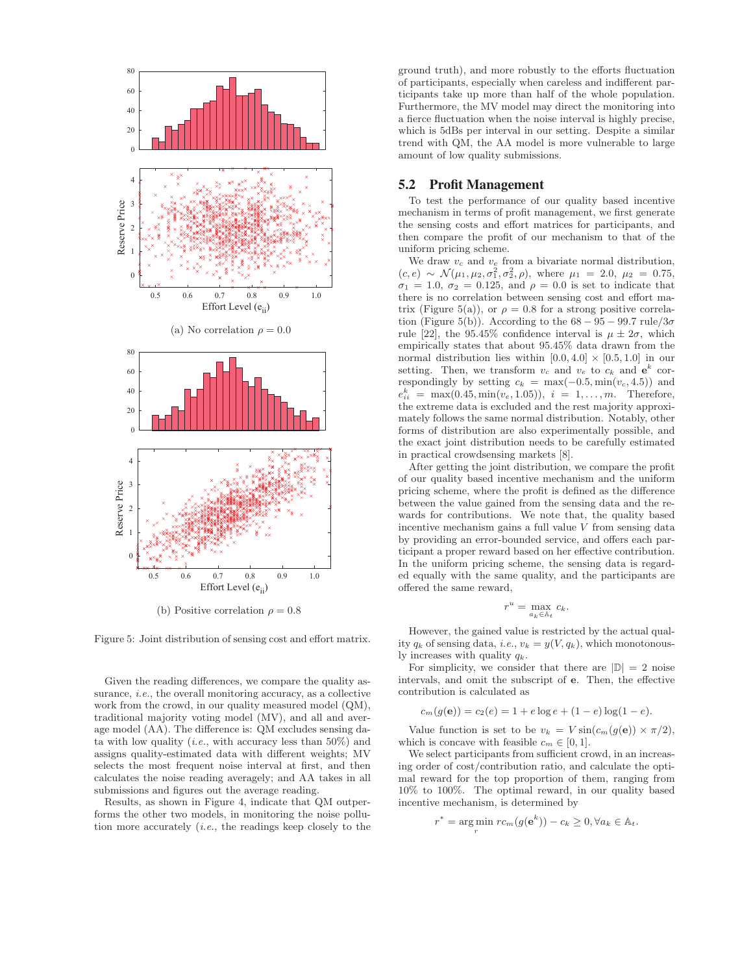

Figure 5: Joint distribution of sensing cost and effort matrix.

Given the reading differences, we compare the quality assurance, i.e., the overall monitoring accuracy, as a collective work from the crowd, in our quality measured model (QM), traditional majority voting model (MV), and all and average model (AA). The difference is: QM excludes sensing data with low quality (*i.e.*, with accuracy less than  $50\%$ ) and assigns quality-estimated data with different weights; MV selects the most frequent noise interval at first, and then calculates the noise reading averagely; and AA takes in all submissions and figures out the average reading.

Results, as shown in Figure 4, indicate that QM outperforms the other two models, in monitoring the noise pollution more accurately (i.e., the readings keep closely to the

ground truth), and more robustly to the efforts fluctuation of participants, especially when careless and indifferent participants take up more than half of the whole population. Furthermore, the MV model may direct the monitoring into a fierce fluctuation when the noise interval is highly precise, which is 5dBs per interval in our setting. Despite a similar trend with QM, the AA model is more vulnerable to large amount of low quality submissions.

#### 5.2 Profit Management

To test the performance of our quality based incentive mechanism in terms of profit management, we first generate the sensing costs and effort matrices for participants, and then compare the profit of our mechanism to that of the uniform pricing scheme.

We draw  $v_c$  and  $v_e$  from a bivariate normal distribution,  $(c, e) \sim \mathcal{N}(\mu_1, \mu_2, \sigma_1^2, \sigma_2^2, \rho)$ , where  $\mu_1 = 2.0, \mu_2 = 0.75$ ,  $\sigma_1 = 1.0, \sigma_2 = 0.125, \text{ and } \rho = 0.0 \text{ is set to indicate that}$ there is no correlation between sensing cost and effort matrix (Figure 5(a)), or  $\rho = 0.8$  for a strong positive correlation (Figure 5(b)). According to the  $68 - 95 - 99.7$  rule/ $3\sigma$ rule [22], the 95.45% confidence interval is  $\mu \pm 2\sigma$ , which empirically states that about 95.45% data drawn from the normal distribution lies within  $[0.0, 4.0] \times [0.5, 1.0]$  in our setting. Then, we transform  $v_c$  and  $v_e$  to  $c_k$  and  $e^k$  correspondingly by setting  $c_k = \max(-0.5, \min(v_c, 4.5))$  and  $e_{ii}^k = \max(0.45, \min(v_e, 1.05)), i = 1, \ldots, m.$  Therefore, the extreme data is excluded and the rest majority approximately follows the same normal distribution. Notably, other forms of distribution are also experimentally possible, and the exact joint distribution needs to be carefully estimated in practical crowdsensing markets [8].

After getting the joint distribution, we compare the profit of our quality based incentive mechanism and the uniform pricing scheme, where the profit is defined as the difference between the value gained from the sensing data and the rewards for contributions. We note that, the quality based incentive mechanism gains a full value  $V$  from sensing data by providing an error-bounded service, and offers each participant a proper reward based on her effective contribution. In the uniform pricing scheme, the sensing data is regarded equally with the same quality, and the participants are offered the same reward,

$$
r^u = \max_{a_k \in \mathbb{A}_t} c_k.
$$

However, the gained value is restricted by the actual quality  $q_k$  of sensing data, *i.e.*,  $v_k = y(V, q_k)$ , which monotonously increases with quality  $q_k$ .

For simplicity, we consider that there are  $|\mathbb{D}| = 2$  noise intervals, and omit the subscript of e. Then, the effective contribution is calculated as

$$
c_m(g(e)) = c_2(e) = 1 + e \log e + (1 - e) \log(1 - e).
$$

Value function is set to be  $v_k = V \sin(c_m(g(e)) \times \pi/2)$ , which is concave with feasible  $c_m \in [0, 1]$ .

We select participants from sufficient crowd, in an increasing order of cost/contribution ratio, and calculate the optimal reward for the top proportion of them, ranging from 10% to 100%. The optimal reward, in our quality based incentive mechanism, is determined by

$$
r^* = \underset{r}{\arg\min} rc_m(g(\mathbf{e}^k)) - c_k \ge 0, \forall a_k \in \mathbb{A}_t.
$$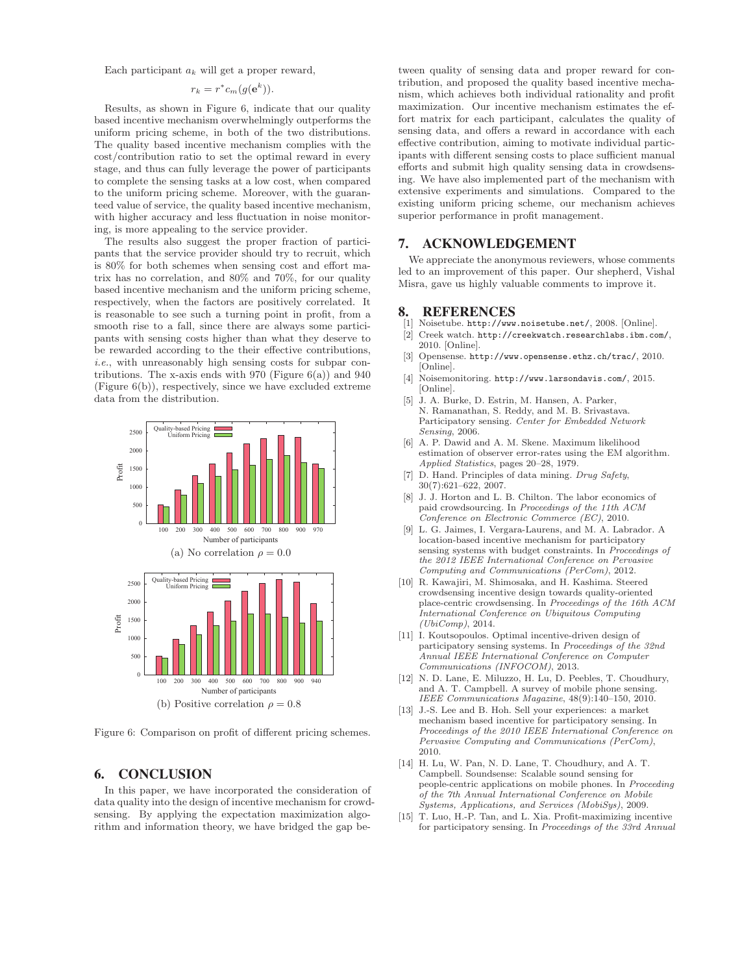Each participant  $a_k$  will get a proper reward,

$$
r_k = r^* c_m(g(\mathbf{e}^k)).
$$

Results, as shown in Figure 6, indicate that our quality based incentive mechanism overwhelmingly outperforms the uniform pricing scheme, in both of the two distributions. The quality based incentive mechanism complies with the cost/contribution ratio to set the optimal reward in every stage, and thus can fully leverage the power of participants to complete the sensing tasks at a low cost, when compared to the uniform pricing scheme. Moreover, with the guaranteed value of service, the quality based incentive mechanism, with higher accuracy and less fluctuation in noise monitoring, is more appealing to the service provider.

The results also suggest the proper fraction of participants that the service provider should try to recruit, which is 80% for both schemes when sensing cost and effort matrix has no correlation, and 80% and 70%, for our quality based incentive mechanism and the uniform pricing scheme, respectively, when the factors are positively correlated. It is reasonable to see such a turning point in profit, from a smooth rise to a fall, since there are always some participants with sensing costs higher than what they deserve to be rewarded according to the their effective contributions, i.e., with unreasonably high sensing costs for subpar contributions. The x-axis ends with 970 (Figure  $6(a)$ ) and 940 (Figure 6(b)), respectively, since we have excluded extreme data from the distribution.



Figure 6: Comparison on profit of different pricing schemes.

# 6. CONCLUSION

In this paper, we have incorporated the consideration of data quality into the design of incentive mechanism for crowdsensing. By applying the expectation maximization algorithm and information theory, we have bridged the gap be-

tween quality of sensing data and proper reward for contribution, and proposed the quality based incentive mechanism, which achieves both individual rationality and profit maximization. Our incentive mechanism estimates the effort matrix for each participant, calculates the quality of sensing data, and offers a reward in accordance with each effective contribution, aiming to motivate individual participants with different sensing costs to place sufficient manual efforts and submit high quality sensing data in crowdsensing. We have also implemented part of the mechanism with extensive experiments and simulations. Compared to the existing uniform pricing scheme, our mechanism achieves superior performance in profit management.

# 7. ACKNOWLEDGEMENT

We appreciate the anonymous reviewers, whose comments led to an improvement of this paper. Our shepherd, Vishal Misra, gave us highly valuable comments to improve it.

## 8. REFERENCES

- Noisetube. http://www.noisetube.net/, 2008. [Online].
- [2] Creek watch. http://creekwatch.researchlabs.ibm.com/, 2010. [Online].
- Opensense. http://www.opensense.ethz.ch/trac/, 2010. [Online].
- [4] Noisemonitoring. http://www.larsondavis.com/, 2015. [Online].
- [5] J. A. Burke, D. Estrin, M. Hansen, A. Parker, N. Ramanathan, S. Reddy, and M. B. Srivastava. Participatory sensing. Center for Embedded Network Sensing, 2006.
- [6] A. P. Dawid and A. M. Skene. Maximum likelihood estimation of observer error-rates using the EM algorithm. Applied Statistics, pages 20–28, 1979.
- D. Hand. Principles of data mining. Drug Safety, 30(7):621–622, 2007.
- [8] J. J. Horton and L. B. Chilton. The labor economics of paid crowdsourcing. In Proceedings of the 11th ACM Conference on Electronic Commerce (EC), 2010.
- [9] L. G. Jaimes, I. Vergara-Laurens, and M. A. Labrador. A location-based incentive mechanism for participatory sensing systems with budget constraints. In Proceedings of the 2012 IEEE International Conference on Pervasive Computing and Communications (PerCom), 2012.
- [10] R. Kawajiri, M. Shimosaka, and H. Kashima. Steered crowdsensing incentive design towards quality-oriented place-centric crowdsensing. In Proceedings of the 16th ACM International Conference on Ubiquitous Computing (UbiComp), 2014.
- [11] I. Koutsopoulos. Optimal incentive-driven design of participatory sensing systems. In Proceedings of the 32nd Annual IEEE International Conference on Computer Communications (INFOCOM), 2013.
- [12] N. D. Lane, E. Miluzzo, H. Lu, D. Peebles, T. Choudhury, and A. T. Campbell. A survey of mobile phone sensing. IEEE Communications Magazine, 48(9):140–150, 2010.
- [13] J.-S. Lee and B. Hoh. Sell your experiences: a market mechanism based incentive for participatory sensing. In Proceedings of the 2010 IEEE International Conference on Pervasive Computing and Communications (PerCom), 2010.
- [14] H. Lu, W. Pan, N. D. Lane, T. Choudhury, and A. T. Campbell. Soundsense: Scalable sound sensing for people-centric applications on mobile phones. In Proceeding of the 7th Annual International Conference on Mobile Systems, Applications, and Services (MobiSys), 2009.
- [15] T. Luo, H.-P. Tan, and L. Xia. Profit-maximizing incentive for participatory sensing. In Proceedings of the 33rd Annual